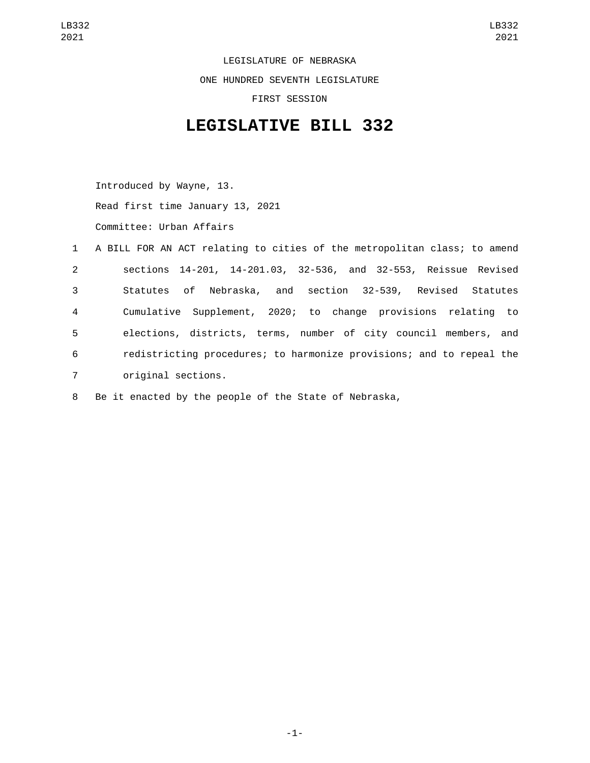LEGISLATURE OF NEBRASKA ONE HUNDRED SEVENTH LEGISLATURE FIRST SESSION

## **LEGISLATIVE BILL 332**

Introduced by Wayne, 13. Read first time January 13, 2021 Committee: Urban Affairs

|                | 1 A BILL FOR AN ACT relating to cities of the metropolitan class; to amend |
|----------------|----------------------------------------------------------------------------|
| $2^{\circ}$    | sections 14-201, 14-201.03, 32-536, and 32-553, Reissue Revised            |
| 3 <sup>1</sup> | Statutes of Nebraska, and section 32-539, Revised Statutes                 |
| 4              | Cumulative Supplement, 2020; to change provisions relating to              |
| 5              | elections, districts, terms, number of city council members, and           |
| 6              | redistricting procedures; to harmonize provisions; and to repeal the       |
| $\overline{7}$ | original sections.                                                         |

8 Be it enacted by the people of the State of Nebraska,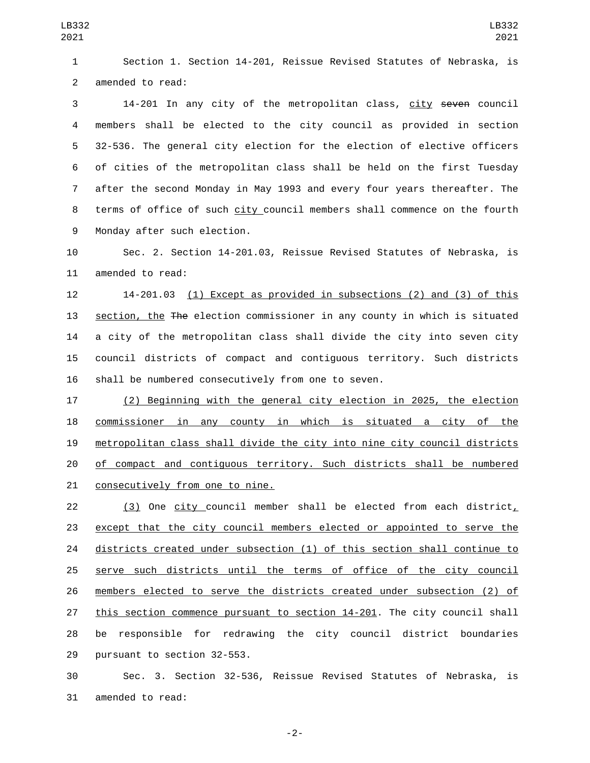Section 1. Section 14-201, Reissue Revised Statutes of Nebraska, is 2 amended to read:

 14-201 In any city of the metropolitan class, city seven council members shall be elected to the city council as provided in section 32-536. The general city election for the election of elective officers of cities of the metropolitan class shall be held on the first Tuesday after the second Monday in May 1993 and every four years thereafter. The terms of office of such city council members shall commence on the fourth 9 Monday after such election.

 Sec. 2. Section 14-201.03, Reissue Revised Statutes of Nebraska, is 11 amended to read:

 14-201.03 (1) Except as provided in subsections (2) and (3) of this section, the The election commissioner in any county in which is situated a city of the metropolitan class shall divide the city into seven city council districts of compact and contiguous territory. Such districts shall be numbered consecutively from one to seven.

 (2) Beginning with the general city election in 2025, the election commissioner in any county in which is situated a city of the metropolitan class shall divide the city into nine city council districts 20 of compact and contiguous territory. Such districts shall be numbered 21 consecutively from one to nine.

22 (3) One city council member shall be elected from each district, except that the city council members elected or appointed to serve the districts created under subsection (1) of this section shall continue to serve such districts until the terms of office of the city council members elected to serve the districts created under subsection (2) of this section commence pursuant to section 14-201. The city council shall be responsible for redrawing the city council district boundaries 29 pursuant to section 32-553.

 Sec. 3. Section 32-536, Reissue Revised Statutes of Nebraska, is 31 amended to read:

-2-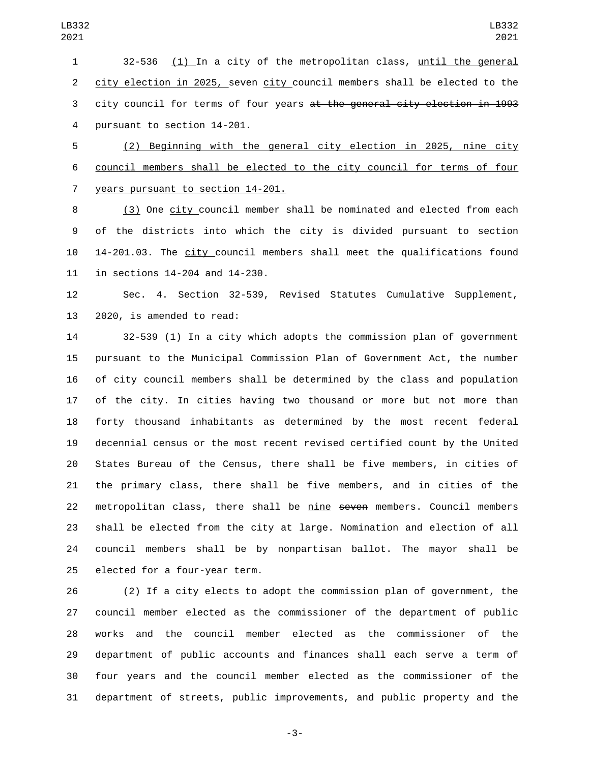32-536 (1) In a city of the metropolitan class, until the general city election in 2025, seven city council members shall be elected to the city council for terms of four years at the general city election in 1993 4 pursuant to section 14-201.

 (2) Beginning with the general city election in 2025, nine city council members shall be elected to the city council for terms of four 7 years pursuant to section 14-201.

 (3) One city council member shall be nominated and elected from each of the districts into which the city is divided pursuant to section 14-201.03. The city council members shall meet the qualifications found 11 in sections 14-204 and 14-230.

 Sec. 4. Section 32-539, Revised Statutes Cumulative Supplement, 13 2020, is amended to read:

 32-539 (1) In a city which adopts the commission plan of government pursuant to the Municipal Commission Plan of Government Act, the number of city council members shall be determined by the class and population of the city. In cities having two thousand or more but not more than forty thousand inhabitants as determined by the most recent federal decennial census or the most recent revised certified count by the United States Bureau of the Census, there shall be five members, in cities of the primary class, there shall be five members, and in cities of the 22 metropolitan class, there shall be nine seven members. Council members shall be elected from the city at large. Nomination and election of all council members shall be by nonpartisan ballot. The mayor shall be 25 elected for a four-year term.

 (2) If a city elects to adopt the commission plan of government, the council member elected as the commissioner of the department of public works and the council member elected as the commissioner of the department of public accounts and finances shall each serve a term of four years and the council member elected as the commissioner of the department of streets, public improvements, and public property and the

-3-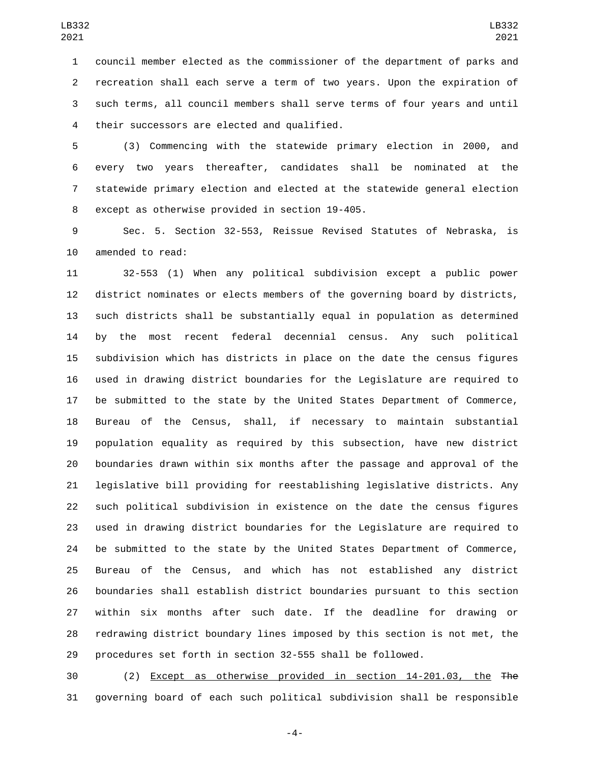council member elected as the commissioner of the department of parks and recreation shall each serve a term of two years. Upon the expiration of such terms, all council members shall serve terms of four years and until their successors are elected and qualified.4

 (3) Commencing with the statewide primary election in 2000, and every two years thereafter, candidates shall be nominated at the statewide primary election and elected at the statewide general election 8 except as otherwise provided in section 19-405.

 Sec. 5. Section 32-553, Reissue Revised Statutes of Nebraska, is 10 amended to read:

 32-553 (1) When any political subdivision except a public power district nominates or elects members of the governing board by districts, such districts shall be substantially equal in population as determined by the most recent federal decennial census. Any such political subdivision which has districts in place on the date the census figures used in drawing district boundaries for the Legislature are required to be submitted to the state by the United States Department of Commerce, Bureau of the Census, shall, if necessary to maintain substantial population equality as required by this subsection, have new district boundaries drawn within six months after the passage and approval of the legislative bill providing for reestablishing legislative districts. Any such political subdivision in existence on the date the census figures used in drawing district boundaries for the Legislature are required to be submitted to the state by the United States Department of Commerce, Bureau of the Census, and which has not established any district boundaries shall establish district boundaries pursuant to this section within six months after such date. If the deadline for drawing or redrawing district boundary lines imposed by this section is not met, the procedures set forth in section 32-555 shall be followed.

 (2) Except as otherwise provided in section 14-201.03, the The governing board of each such political subdivision shall be responsible

-4-